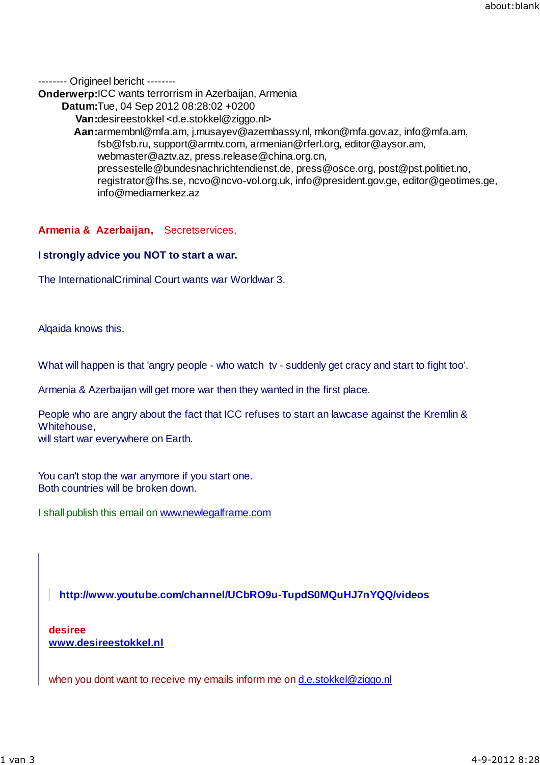-------- Origineel bericht --------

**Onderwerp:**ICC wants terrorrism in Azerbaijan, Armenia

**Datum:**Tue, 04 Sep 2012 08:28:02 +0200

**Van:**desireestokkel <d.e.stokkel@ziggo.nl>

**Aan:**armembnl@mfa.am, j.musayev@azembassy.nl, mkon@mfa.gov.az, info@mfa.am, fsb@fsb.ru, support@armtv.com, armenian@rferl.org, editor@aysor.am, webmaster@aztv.az, press.release@china.org.cn, pressestelle@bundesnachrichtendienst.de, press@osce.org, post@pst.politiet.no, registrator@fhs.se, ncvo@ncvo-vol.org.uk, info@president.gov.ge, editor@geotimes.ge, info@mediamerkez.az

## **Armenia & Azerbaijan,** Secretservices,

## **I strongly advice you NOT to start a war.**

The InternationalCriminal Court wants war Worldwar 3.

Alqaida knows this.

What will happen is that 'angry people - who watch tv - suddenly get cracy and start to fight too'.

Armenia & Azerbaijan will get more war then they wanted in the first place.

People who are angry about the fact that ICC refuses to start an lawcase against the Kremlin & Whitehouse, will start war everywhere on Earth.

You can't stop the war anymore if you start one. Both countries will be broken down.

I shall publish this email on www.newlegalframe.com

**http://www.youtube.com/channel/UCbRO9u-TupdS0MQuHJ7nYQQ/videos**

**desiree www.desireestokkel.nl**

when you dont want to receive my emails inform me on d.e.stokkel@ziggo.nl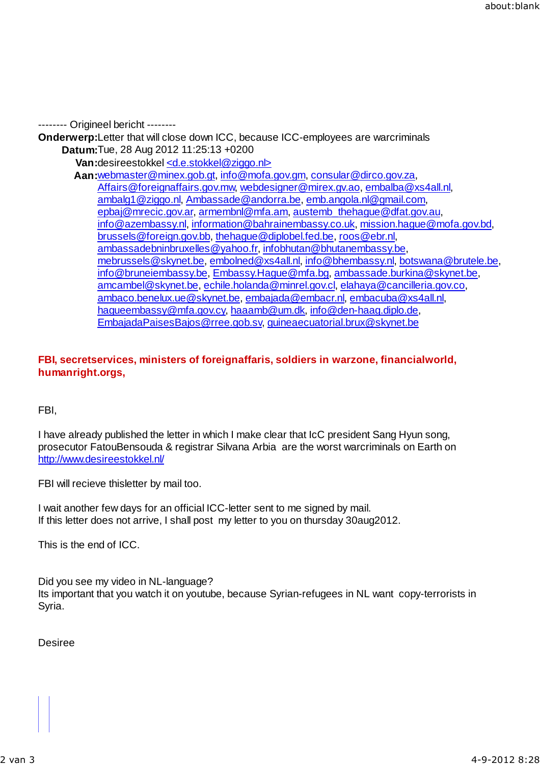-------- Origineel bericht --------

**Onderwerp:**Letter that will close down ICC, because ICC-employees are warcriminals **Datum:**Tue, 28 Aug 2012 11:25:13 +0200

Van:desireestokkel <d.e.stokkel@ziggo.nl>

**Aan:**webmaster@minex.gob.gt, info@mofa.gov.gm, consular@dirco.gov.za, Affairs@foreignaffairs.gov.mw, webdesigner@mirex.gv.ao, embalba@xs4all.nl, ambalg1@ziggo.nl, Ambassade@andorra.be, emb.angola.nl@gmail.com, epbaj@mrecic.gov.ar, armembnl@mfa.am, austemb\_thehague@dfat.gov.au, info@azembassy.nl, information@bahrainembassy.co.uk, mission.hague@mofa.gov.bd, brussels@foreign.gov.bb, thehague@diplobel.fed.be, roos@ebr.nl, ambassadebninbruxelles@yahoo.fr, infobhutan@bhutanembassy.be, mebrussels@skynet.be, embolned@xs4all.nl, info@bhembassy.nl, botswana@brutele.be, info@bruneiembassy.be, Embassy.Hague@mfa.bg, ambassade.burkina@skynet.be, amcambel@skynet.be, echile.holanda@minrel.gov.cl, elahaya@cancilleria.gov.co, ambaco.benelux.ue@skynet.be, embajada@embacr.nl, embacuba@xs4all.nl, hagueembassy@mfa.gov.cy, haaamb@um.dk, info@den-haag.diplo.de, EmbajadaPaisesBajos@rree.gob.sv, guineaecuatorial.brux@skynet.be

## **FBI, secretservices, ministers of foreignaffaris, soldiers in warzone, financialworld, humanright.orgs,**

FBI,

I have already published the letter in which I make clear that IcC president Sang Hyun song, prosecutor FatouBensouda & registrar Silvana Arbia are the worst warcriminals on Earth on http://www.desireestokkel.nl/

FBI will recieve thisletter by mail too.

I wait another few days for an official ICC-letter sent to me signed by mail. If this letter does not arrive, I shall post my letter to you on thursday 30aug2012.

This is the end of ICC.

Did you see my video in NL-language? Its important that you watch it on youtube, because Syrian-refugees in NL want copy-terrorists in Syria.

Desiree